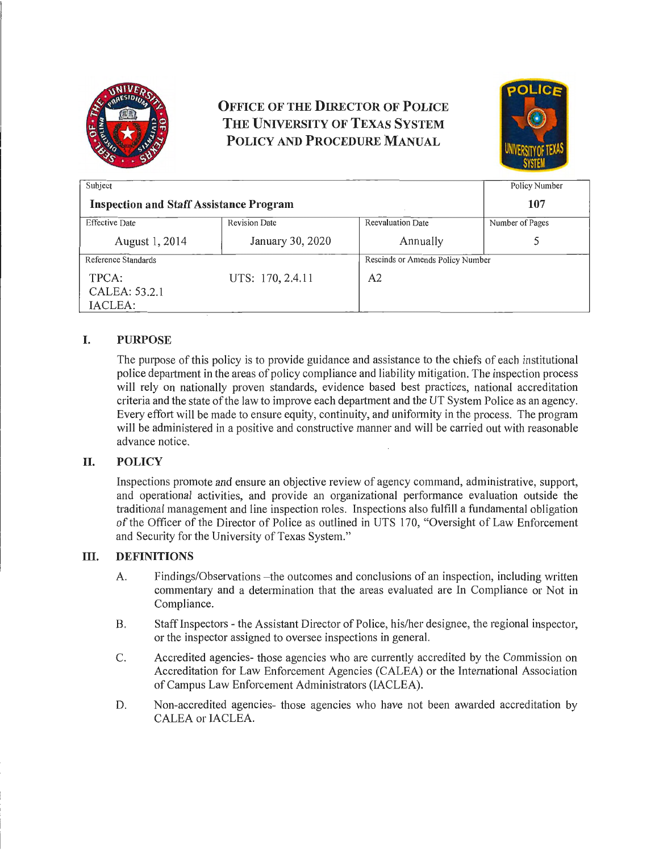

# **OFFICE OF THE DIRECTOR OF POLICE THE UNIVERSITY OF TEXAS SYSTEM POLICY AND PROCEDURE MANUAL**



| Subject                                        |                      |                                  | Policy Number   |
|------------------------------------------------|----------------------|----------------------------------|-----------------|
| <b>Inspection and Staff Assistance Program</b> |                      |                                  | 107             |
| <b>Effective Date</b>                          | <b>Revision Date</b> | <b>Reevaluation Date</b>         | Number of Pages |
| August 1, 2014                                 | January 30, 2020     | Annually                         |                 |
| Reference Standards                            |                      | Rescinds or Amends Policy Number |                 |
| TPCA:<br>CALEA: 53.2.1<br>IACLEA:              | UTS: 170, 2.4.11     | A2                               |                 |

# **I. PURPOSE**

The purpose of this policy is to provide guidance and assistance to the chiefs of each institutional police depaitment in the areas of policy compliance and liability mitigation. The inspection process will rely on nationally proven standards, evidence based best practices, national accreditation criteria and the state of the law to improve each department and the UT System Police as an agency. Every effort will be made to ensure equity, continuity, and uniformity in the process. The program will be administered in a positive and constructive manner and will be carried out with reasonable advance notice.

## **II. POLICY**

Inspections promote and ensure an objective review of agency command, administrative, support, and operational activities, and provide an organizational performance evaluation outside the traditional management and line inspection roles. Inspections also fulfill a fundamental obligation of the Officer of the Director of Police as outlined in UTS 170, "Oversight of Law Enforcement and Security for the University of Texas System."

#### **ill. DEFINITIONS**

- A. Findings/Observations -the outcomes and conclusions of an inspection, including written commentary and a determination that the areas evaluated are In Compliance or Not in Compliance.
- B. Staff Inspectors the Assistant Director of Police, his/her designee, the regional inspector, or the inspector assigned to oversee inspections in general.
- C. Accredited agencies- those agencies who are currently accredited by the Commission on Accreditation for Law Enforcement Agencies (CALEA) or the International Association of Campus Law Enforcement Administrators (IACLEA).
- D. Non-accredited agencies- those agencies who have not been awarded accreditation by CALEA or IACLEA.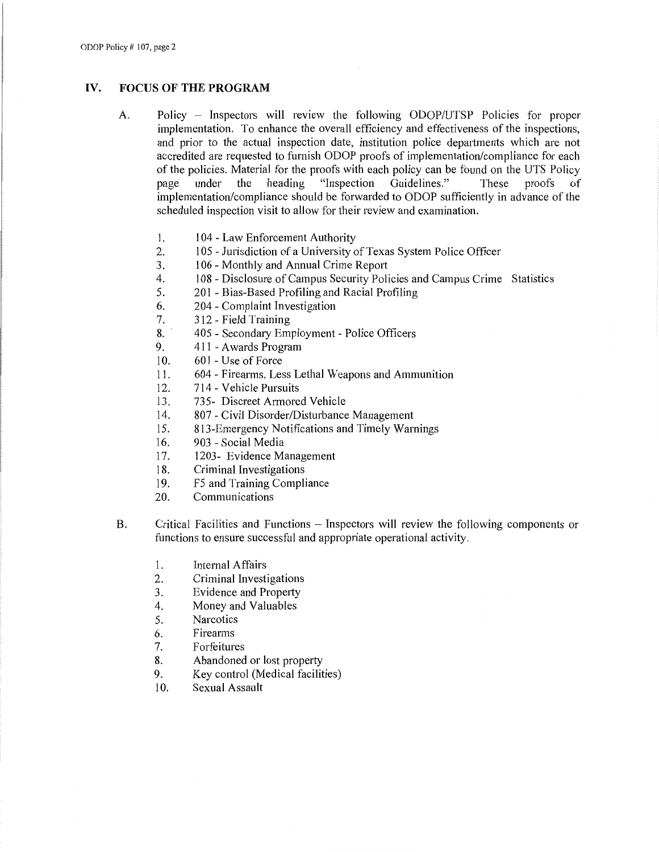#### **IV. FOCUS OF THE PROGRAM**

- A. Policy Inspectors will review the following ODOP/UTSP Policies for proper implementation. To enhance the overall efficiency and effectiveness of the inspections, and prior to the actual inspection date, institution police departments which are not accredited are requested to furnish ODOP proofs of implementation/compliance for each of the policies. Material for the proofs with each policy can be found on the UTS Policy<br>nage under the heading "Inspection Guidelines." These proofs of page under the heading "Inspection Guidelines." These proofs of implementation/compliance should be forwarded to ODOP sufficiently in advance of the scheduled inspection visit to allow for their review and examination.
	- 1. 104 Law Enforcement Authority
	- 2. 105 Jurisdiction of a University of Texas System Police Officer
	- 3. 106 Monthly and Annual Crime Report
	- 4. 108 Disclosure of Campus Security Policies and Campus Crime Statistics
	- 5. 201 Bias-Based Profiling and Racial Profiling
	- 6. 204 Complaint Investigation
	- 7. 312 Field Training
	- 8. 405 Secondary Employment Police Officers
	- 9. 411 Awards Program
	- 10. 601 Use of Force
	- 11. 604 Firearms, Less Lethal Weapons and Ammunition
	- 12. 714 Vehicle Pursuits
	- 13. 735- Discreet Armored Vehicle
	- 14. 807 Civil Disorder/Disturbance Management
	- 15. 813-Emergency Notifications and Timely Warnings
	- 16. 903 Social Media
	- 17. 1203- Evidence Management
	- 18. Criminal Investigations
	- 19. F5 and Training Compliance
	- 20. Communications
- B. Critical Facilities and Functions Inspectors will review the following components or functions to ensure successful and appropriate operational activity.
	- 1. Internal Affairs
	- 2. Criminal Investigations
	- 3. Evidence and Property
	- 4. Money and Valuables
	- 5. Narcotics
	- 6. Firearms
	- 7. Forfeitures
	- 8. Abandoned or lost property
	- 9. Key control (Medical facilities)
	- 10. Sexual Assault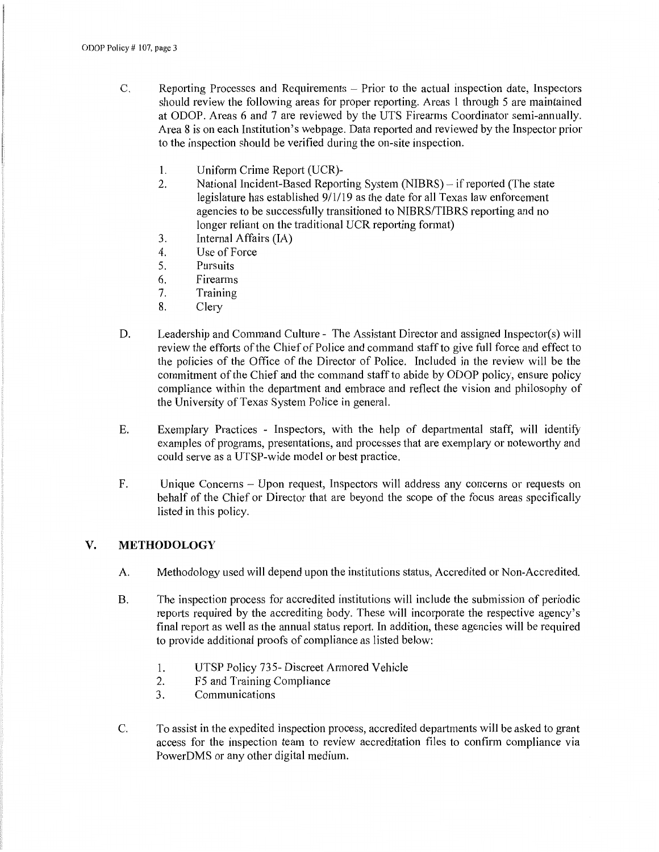- C. Reporting Processes and Requirements Prior to the actual inspection date, Inspectors should review the following areas for proper reporting. Areas 1 through 5 are maintained at ODOP. Areas 6 and 7 are reviewed by the UTS Firearms Coordinator semi-annually. Area 8 is on each Institution's webpage. Data reported and reviewed by the Inspector prior to the inspection should be verified during the on-site inspection.
	- 1. Uniform Crime Report (UCR)-
	- 2. National Incident-Based Reporting System (NIBRS) if reported (The state legislature has established 9/1/19 as the date for all Texas law enforcement agencies to be successfully transitioned to NIBRS/TIBRS reporting and no longer reliant on the traditional UCR reporting format)
	- 3. Internal Affairs (IA)
	- 4. Use of Force
	- 5. Pursuits
	- 6. Firearms
	- 7. Training
	- 8. Clery
- D. Leadership and Command Culture The Assistant Director and assigned Inspector(s) will review the efforts of the Chief of Police and command staff to give full force and effect to the policies of the Office of the Director of Police. Included in the review will be the commitment of the Chief and the command staff to abide by ODOP policy, ensure policy compliance within the department and embrace and reflect the vision and philosophy of the University of Texas System Police in general.
- E. Exemplary Practices Inspectors, with the help of departmental staff, will identify examples of programs, presentations, and processes that are exemplary or noteworthy and could serve as a UTSP-wide model or best practice.
- F. Unique Concerns Upon request, Inspectors will address any concerns or requests on behalf of the Chief or Director that are beyond the scope of the focus areas specifically listed in this policy.

## **V. METHODOLOGY**

- A. Methodology used will depend upon the institutions status, Accredited or Non-Accredited.
- B. The inspection process for accredited institutions will include the submission of periodic reports required by the accrediting body. These will incorporate the respective agency's final report as well as the annual status report. In addition, these agencies will be required to provide additional proofs of compliance as listed below:
	- 1. UTSP Policy 735- Discreet Armored Vehicle
	- 2. F5 and Training Compliance
	- 3. Communications
- C. To assist in the expedited inspection process, accredited departments will be asked to grant access for the inspection team to review accreditation files to confirm compliance via PowerDMS or any other digital medium.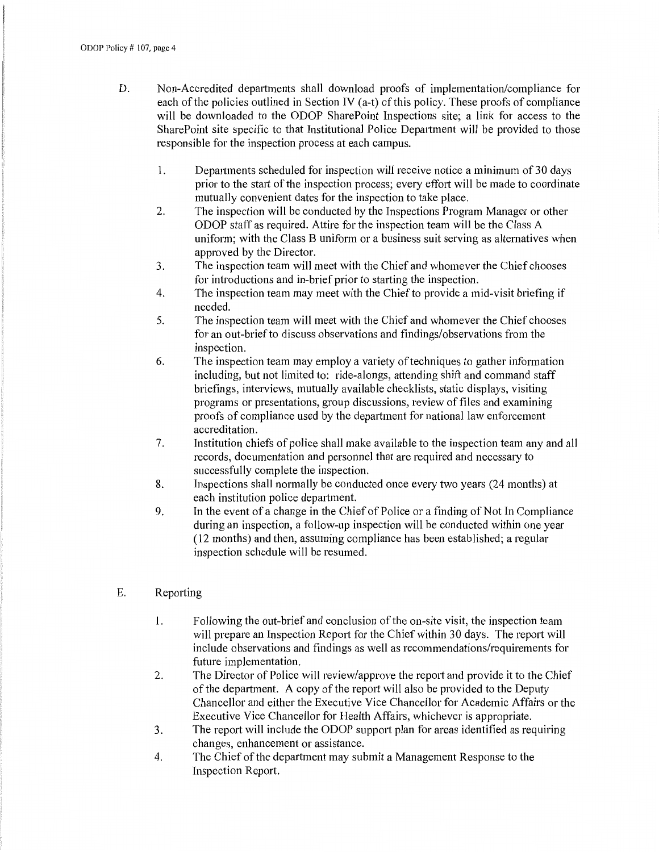- D. Non-Accredited departments shall download proofs of implementation/compliance for each of the policies outlined in Section IV (a-t) of this policy. These proofs of compliance will be downloaded to the ODOP SharePoint Inspections site; a link for access to the SharePoint site specific to that Institutional Police Department will be provided to those responsible for the inspection process at each campus.
	- 1. Departments scheduled for inspection will receive notice a minimum of 30 days prior to the start of the inspection process; every effort will be made to coordinate mutually convenient dates for the inspection to take place.
	- 2. The inspection will be conducted by the Inspections Program Manager or other ODOP staff as required. Attire for the inspection team will be the Class A uniform; with the Class B uniform or a business suit serving as alternatives when approved by the Director.
	- 3. The inspection team will meet with the Chief and whomever the Chief chooses for introductions and in-brief prior to starting the inspection.
	- 4. The inspection team may meet with the Chief to provide a mid-visit briefing if needed.
	- 5. The inspection team will meet with the Chief and whomever the Chief chooses for an out-brief to discuss observations and findings/observations from the inspection.
	- 6. The inspection team may employ a variety of techniques to gather information including, but not limited to: ride-alongs, attending shift and command staff briefings, interviews, mutually available checklists, static displays, visiting programs or presentations, group discussions, review of files and examining proofs of compliance used by the department for national law enforcement accreditation.
	- 7. Institution chiefs of police shall make available to the inspection team any and all records, documentation and personnel that are required and necessary to successfully complete the inspection.
	- 8. Inspections shall normally be conducted once every two years (24 months) at each institution police department.
	- 9. In the event of a change in the Chief of Police or a finding of Not In Compliance during an inspection, a follow-up inspection will be conducted within one year (12 months) and then, assuming compliance has been established; a regular inspection schedule will be resumed.
- E. Reporting
	- l. Following the out-brief and conclusion of the on-site visit, the inspection team will prepare an Inspection Report for the Chief within 30 days. The report will include observations and findings as well as recommendations/requirements for future implementation.
	- 2. The Director of Police will review/approve the report and provide it to the Chief of the department. A copy of the report will also be provided to the Deputy Chancellor and either the Executive Vice Chancellor for Academic Affairs or the Executive Vice Chancellor for Health Affairs, whichever is appropriate.
	- 3. The report will include the ODOP support plan for areas identified as requiring changes, enhancement or assistance.
	- 4. The Chief of the department may submit a Management Response to the Inspection Report.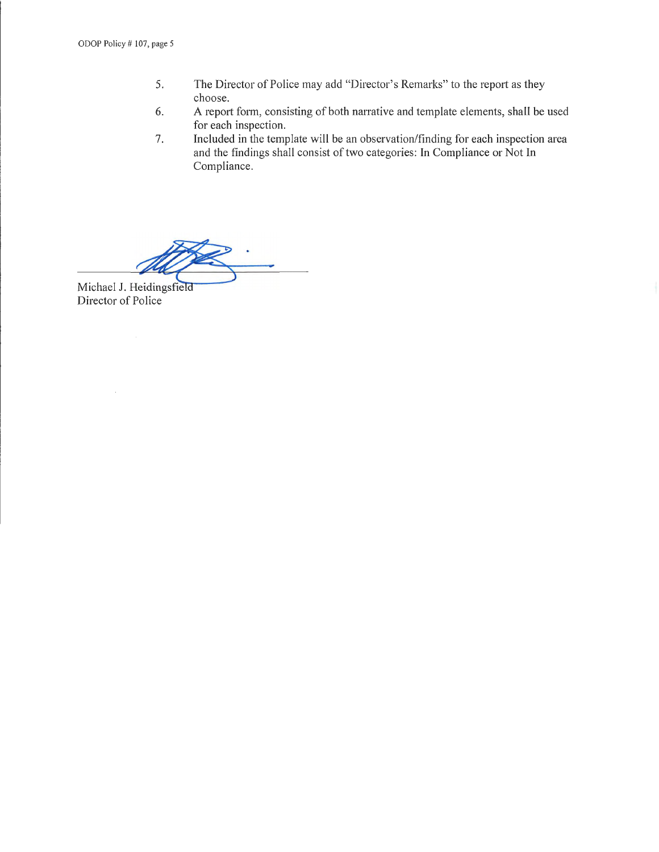- 5. The Director of Police may add "Director's Remarks" to the report as they choose.
- 6. A report form, consisting of both narrative and template elements, shall be used for each inspection.
- 7. Included in the template will be an observation/finding for each inspection area and the findings shall consist of two categories: In Compliance or Not In Compliance.

Michael J. Heidingsfield Director of Police